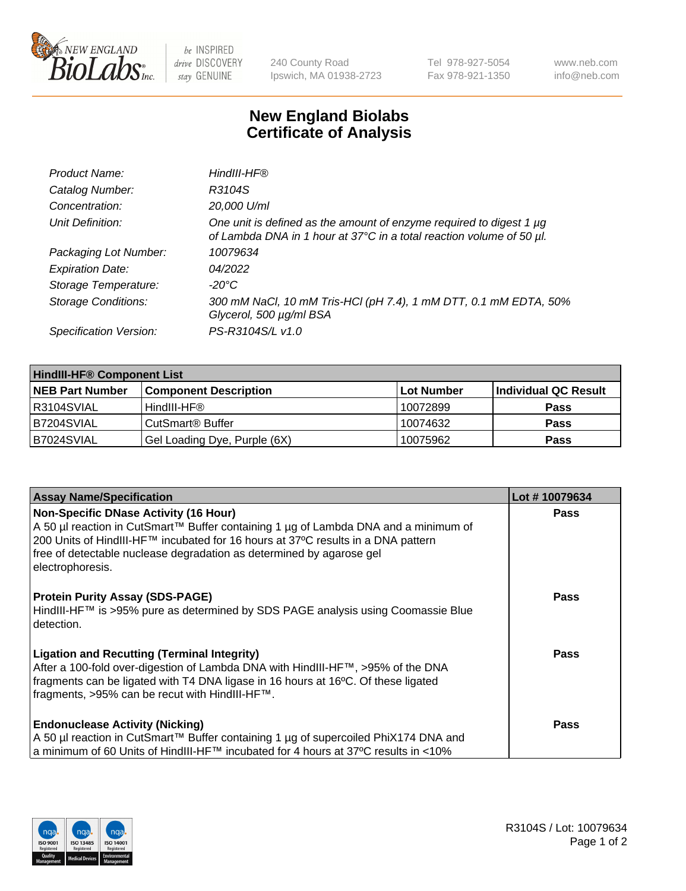

be INSPIRED drive DISCOVERY stay GENUINE

240 County Road Ipswich, MA 01938-2723 Tel 978-927-5054 Fax 978-921-1350 www.neb.com info@neb.com

## **New England Biolabs Certificate of Analysis**

| Product Name:              | HindIII-HF®                                                                                                                                 |
|----------------------------|---------------------------------------------------------------------------------------------------------------------------------------------|
| Catalog Number:            | R3104S                                                                                                                                      |
| Concentration:             | 20,000 U/ml                                                                                                                                 |
| Unit Definition:           | One unit is defined as the amount of enzyme required to digest 1 µg<br>of Lambda DNA in 1 hour at 37°C in a total reaction volume of 50 µl. |
| Packaging Lot Number:      | 10079634                                                                                                                                    |
| <b>Expiration Date:</b>    | 04/2022                                                                                                                                     |
| Storage Temperature:       | $-20^{\circ}$ C                                                                                                                             |
| <b>Storage Conditions:</b> | 300 mM NaCl, 10 mM Tris-HCl (pH 7.4), 1 mM DTT, 0.1 mM EDTA, 50%<br>Glycerol, 500 µg/ml BSA                                                 |
| Specification Version:     | PS-R3104S/L v1.0                                                                                                                            |

| <b>HindIII-HF® Component List</b> |                                    |                   |                      |  |  |
|-----------------------------------|------------------------------------|-------------------|----------------------|--|--|
| <b>NEB Part Number</b>            | <b>Component Description</b>       | <b>Lot Number</b> | Individual QC Result |  |  |
| R3104SVIAL                        | HindIII-HF®                        | 10072899          | <b>Pass</b>          |  |  |
| B7204SVIAL                        | <b>CutSmart<sup>®</sup> Buffer</b> | 10074632          | <b>Pass</b>          |  |  |
| B7024SVIAL                        | Gel Loading Dye, Purple (6X)       | 10075962          | <b>Pass</b>          |  |  |

| <b>Assay Name/Specification</b>                                                                                                                                                                                                                                                                              | Lot #10079634 |
|--------------------------------------------------------------------------------------------------------------------------------------------------------------------------------------------------------------------------------------------------------------------------------------------------------------|---------------|
| Non-Specific DNase Activity (16 Hour)<br>A 50 µl reaction in CutSmart™ Buffer containing 1 µg of Lambda DNA and a minimum of<br>200 Units of HindIII-HF™ incubated for 16 hours at 37°C results in a DNA pattern<br>free of detectable nuclease degradation as determined by agarose gel<br>electrophoresis. | <b>Pass</b>   |
| <b>Protein Purity Assay (SDS-PAGE)</b><br>HindIII-HF™ is >95% pure as determined by SDS PAGE analysis using Coomassie Blue<br>l detection.                                                                                                                                                                   | <b>Pass</b>   |
| <b>Ligation and Recutting (Terminal Integrity)</b><br>After a 100-fold over-digestion of Lambda DNA with HindIII-HF™, >95% of the DNA<br>fragments can be ligated with T4 DNA ligase in 16 hours at 16°C. Of these ligated<br>fragments, >95% can be recut with HindIII-HF™.                                 | Pass          |
| <b>Endonuclease Activity (Nicking)</b><br>A 50 µl reaction in CutSmart™ Buffer containing 1 µg of supercoiled PhiX174 DNA and<br>a minimum of 60 Units of HindIII-HF™ incubated for 4 hours at 37°C results in <10%                                                                                          | Pass          |